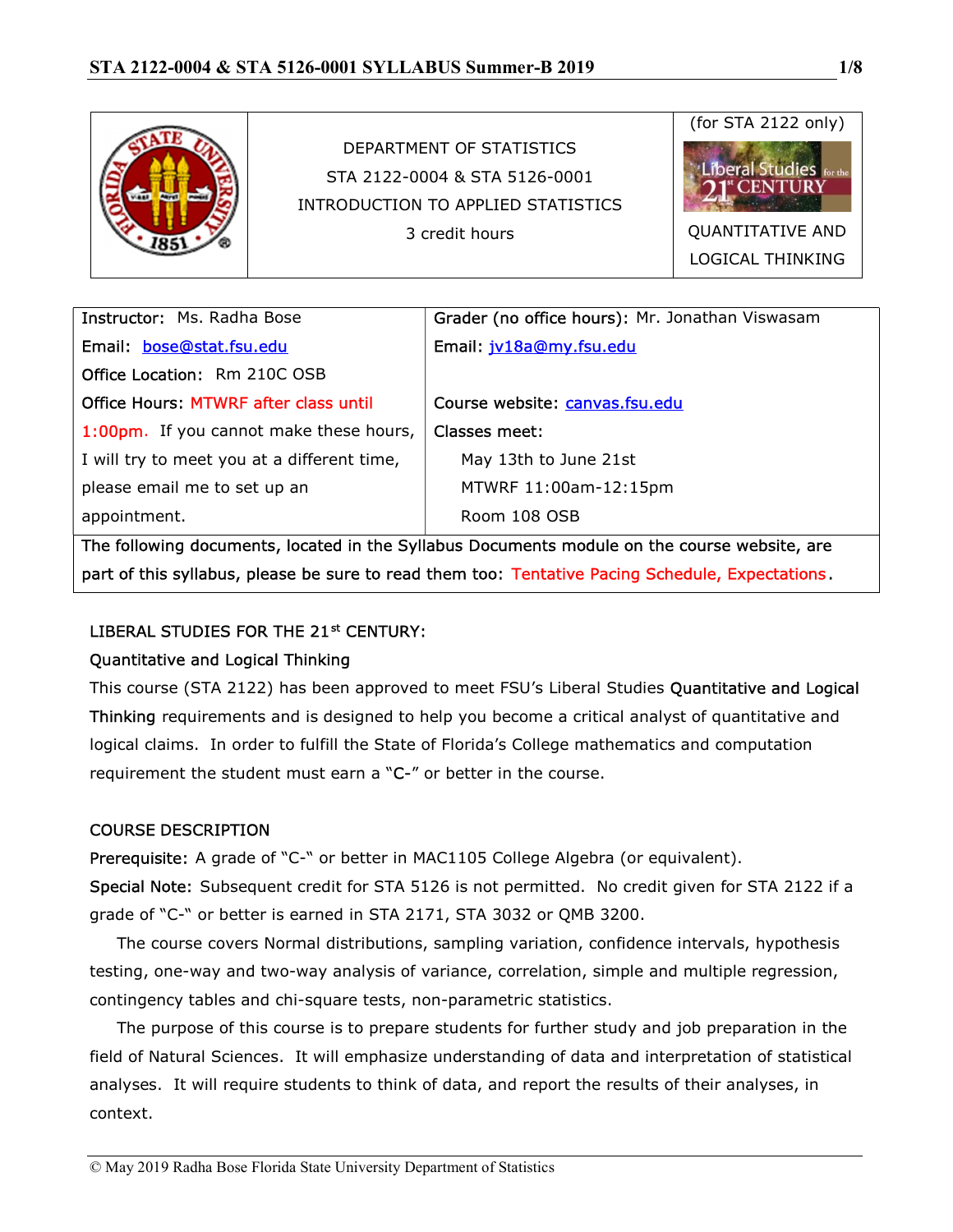

| <b>Instructor: Ms. Radha Bose</b>            | Grader (no office hours): Mr. Jonathan Viswasam |  |  |  |  |
|----------------------------------------------|-------------------------------------------------|--|--|--|--|
| Email: bose@stat.fsu.edu                     | Email: jv18a@my.fsu.edu                         |  |  |  |  |
| <b>Office Location: Rm 210C OSB</b>          |                                                 |  |  |  |  |
| <b>Office Hours: MTWRF after class until</b> | Course website: canvas.fsu.edu                  |  |  |  |  |
| 1:00pm. If you cannot make these hours,      | Classes meet:                                   |  |  |  |  |
| I will try to meet you at a different time,  | May 13th to June 21st                           |  |  |  |  |
| please email me to set up an                 | MTWRF 11:00am-12:15pm                           |  |  |  |  |
| appointment.                                 | Room 108 OSB                                    |  |  |  |  |
|                                              |                                                 |  |  |  |  |

The following documents, located in the Syllabus Documents module on the course website, are part of this syllabus, please be sure to read them too: Tentative Pacing Schedule, Expectations.

# LIBERAL STUDIES FOR THE 21<sup>st</sup> CENTURY:

# Quantitative and Logical Thinking

This course (STA 2122) has been approved to meet FSU's Liberal Studies Quantitative and Logical Thinking requirements and is designed to help you become a critical analyst of quantitative and logical claims. In order to fulfill the State of Florida's College mathematics and computation requirement the student must earn a "C-" or better in the course.

# COURSE DESCRIPTION

Prerequisite: A grade of "C-" or better in MAC1105 College Algebra (or equivalent).

Special Note: Subsequent credit for STA 5126 is not permitted. No credit given for STA 2122 if a grade of "C-" or better is earned in STA 2171, STA 3032 or QMB 3200.

 The course covers Normal distributions, sampling variation, confidence intervals, hypothesis testing, one-way and two-way analysis of variance, correlation, simple and multiple regression, contingency tables and chi-square tests, non-parametric statistics.

 The purpose of this course is to prepare students for further study and job preparation in the field of Natural Sciences. It will emphasize understanding of data and interpretation of statistical analyses. It will require students to think of data, and report the results of their analyses, in context.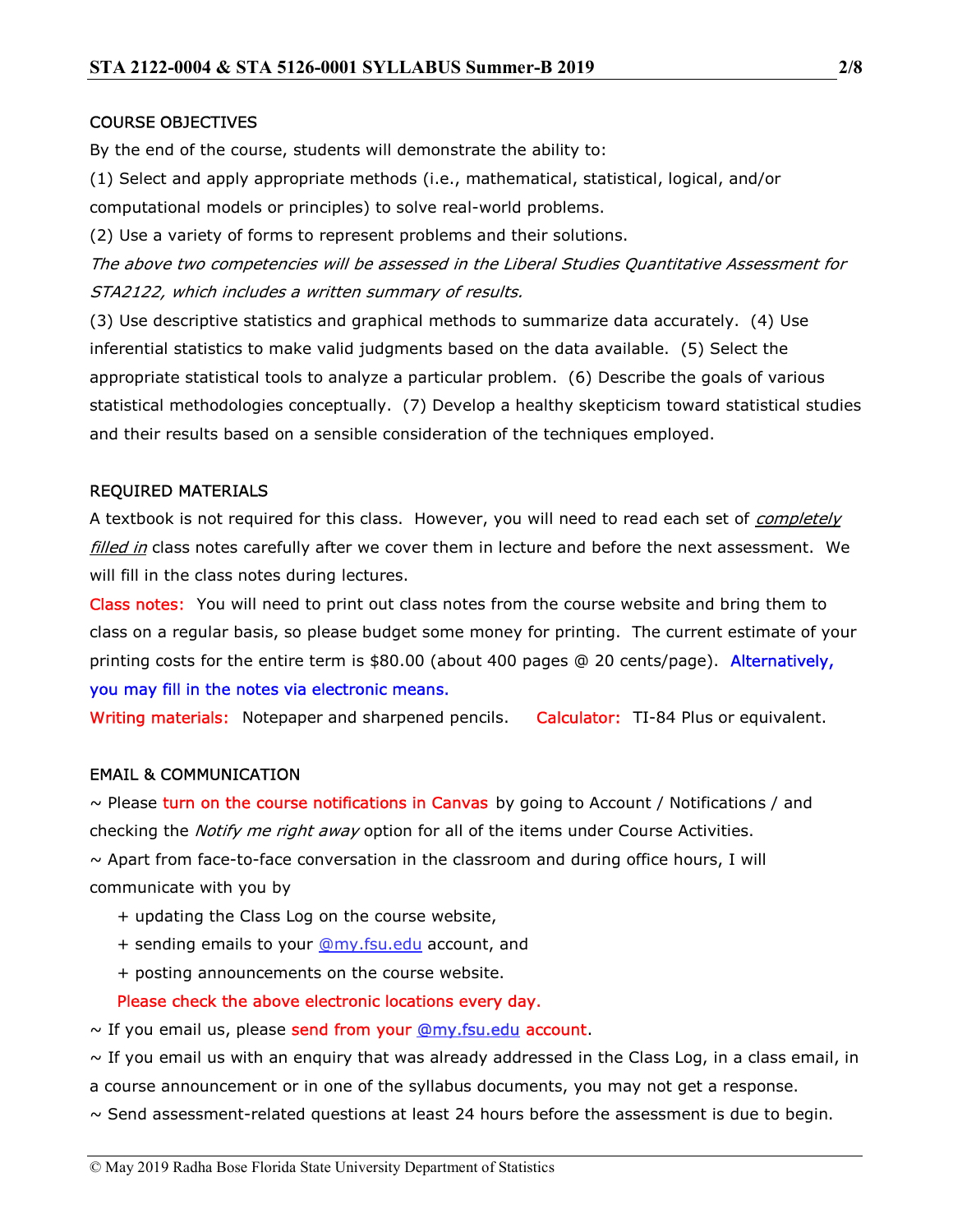#### COURSE OBJECTIVES

By the end of the course, students will demonstrate the ability to:

(1) Select and apply appropriate methods (i.e., mathematical, statistical, logical, and/or computational models or principles) to solve real-world problems.

(2) Use a variety of forms to represent problems and their solutions.

The above two competencies will be assessed in the Liberal Studies Quantitative Assessment for STA2122, which includes a written summary of results.

(3) Use descriptive statistics and graphical methods to summarize data accurately. (4) Use inferential statistics to make valid judgments based on the data available. (5) Select the appropriate statistical tools to analyze a particular problem. (6) Describe the goals of various statistical methodologies conceptually. (7) Develop a healthy skepticism toward statistical studies and their results based on a sensible consideration of the techniques employed.

## REQUIRED MATERIALS

A textbook is not required for this class. However, you will need to read each set of *completely* filled in class notes carefully after we cover them in lecture and before the next assessment. We will fill in the class notes during lectures.

Class notes: You will need to print out class notes from the course website and bring them to class on a regular basis, so please budget some money for printing. The current estimate of your printing costs for the entire term is \$80.00 (about 400 pages @ 20 cents/page). Alternatively, you may fill in the notes via electronic means.

Writing materials: Notepaper and sharpened pencils. Calculator: TI-84 Plus or equivalent.

#### EMAIL & COMMUNICATION

 $\sim$  Please turn on the course notifications in Canvas by going to Account / Notifications / and checking the *Notify me right away* option for all of the items under Course Activities.  $\sim$  Apart from face-to-face conversation in the classroom and during office hours, I will communicate with you by

- + updating the Class Log on the course website,
- + sending emails to your @my.fsu.edu account, and
- + posting announcements on the course website.

Please check the above electronic locations every day.

 $\sim$  If you email us, please send from your  $Q_{\text{my,fsu.edu}}$  account.

 $\sim$  If you email us with an enquiry that was already addressed in the Class Log, in a class email, in

a course announcement or in one of the syllabus documents, you may not get a response.

 $\sim$  Send assessment-related questions at least 24 hours before the assessment is due to begin.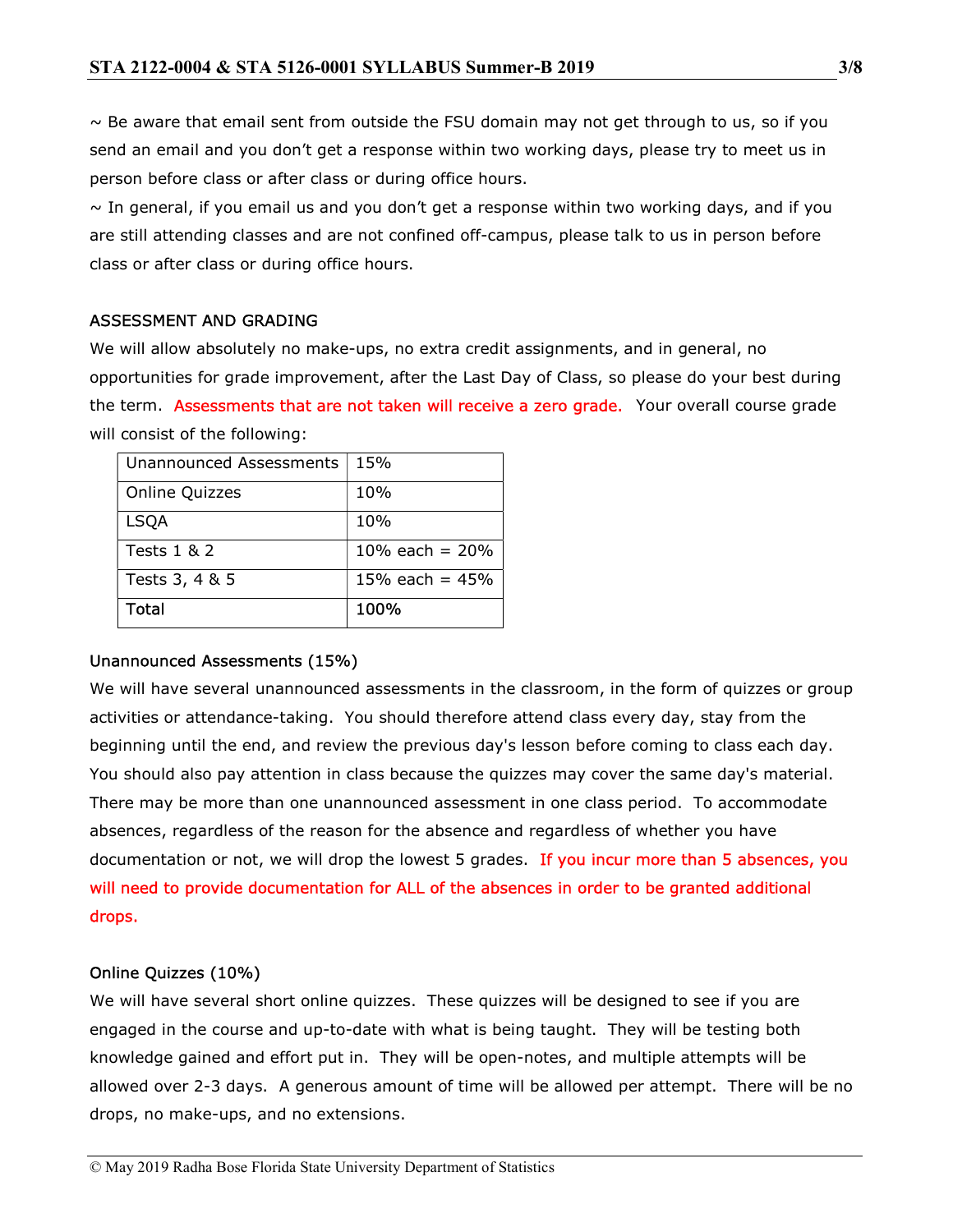$\sim$  Be aware that email sent from outside the FSU domain may not get through to us, so if you send an email and you don't get a response within two working days, please try to meet us in person before class or after class or during office hours.

 $\sim$  In general, if you email us and you don't get a response within two working days, and if you are still attending classes and are not confined off-campus, please talk to us in person before class or after class or during office hours.

## ASSESSMENT AND GRADING

We will allow absolutely no make-ups, no extra credit assignments, and in general, no opportunities for grade improvement, after the Last Day of Class, so please do your best during the term. Assessments that are not taken will receive a zero grade. Your overall course grade will consist of the following:

| <b>Unannounced Assessments</b> | 15%              |
|--------------------------------|------------------|
| <b>Online Quizzes</b>          | 10%              |
| <b>LSQA</b>                    | 10%              |
| Tests 1 & 2                    | 10% each = $20%$ |
| Tests 3, 4 & 5                 | 15% each = $45%$ |
| Total                          | 100%             |

#### Unannounced Assessments (15%)

We will have several unannounced assessments in the classroom, in the form of quizzes or group activities or attendance-taking. You should therefore attend class every day, stay from the beginning until the end, and review the previous day's lesson before coming to class each day. You should also pay attention in class because the quizzes may cover the same day's material. There may be more than one unannounced assessment in one class period. To accommodate absences, regardless of the reason for the absence and regardless of whether you have documentation or not, we will drop the lowest 5 grades. If you incur more than 5 absences, you will need to provide documentation for ALL of the absences in order to be granted additional drops.

#### Online Quizzes (10%)

We will have several short online quizzes. These quizzes will be designed to see if you are engaged in the course and up-to-date with what is being taught. They will be testing both knowledge gained and effort put in. They will be open-notes, and multiple attempts will be allowed over 2-3 days. A generous amount of time will be allowed per attempt. There will be no drops, no make-ups, and no extensions.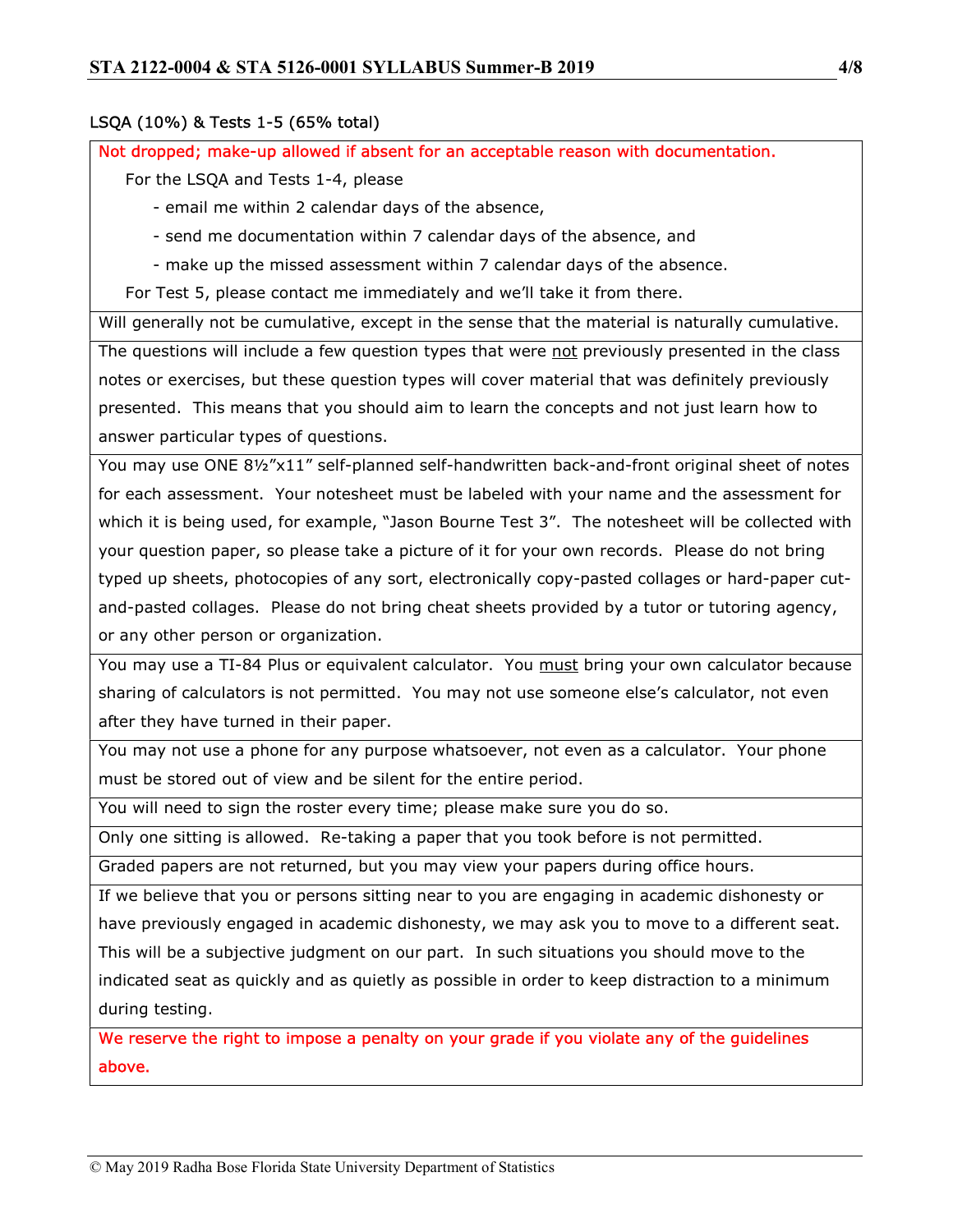## LSQA (10%) & Tests 1-5 (65% total)

Not dropped; make-up allowed if absent for an acceptable reason with documentation.

For the LSQA and Tests 1-4, please

- email me within 2 calendar days of the absence,

- send me documentation within 7 calendar days of the absence, and

- make up the missed assessment within 7 calendar days of the absence.

For Test 5, please contact me immediately and we'll take it from there.

Will generally not be cumulative, except in the sense that the material is naturally cumulative. The questions will include a few question types that were not previously presented in the class notes or exercises, but these question types will cover material that was definitely previously presented. This means that you should aim to learn the concepts and not just learn how to answer particular types of questions.

You may use ONE 8½"x11" self-planned self-handwritten back-and-front original sheet of notes for each assessment. Your notesheet must be labeled with your name and the assessment for which it is being used, for example, "Jason Bourne Test 3". The notesheet will be collected with your question paper, so please take a picture of it for your own records. Please do not bring typed up sheets, photocopies of any sort, electronically copy-pasted collages or hard-paper cutand-pasted collages. Please do not bring cheat sheets provided by a tutor or tutoring agency, or any other person or organization.

You may use a TI-84 Plus or equivalent calculator. You must bring your own calculator because sharing of calculators is not permitted. You may not use someone else's calculator, not even after they have turned in their paper.

You may not use a phone for any purpose whatsoever, not even as a calculator. Your phone must be stored out of view and be silent for the entire period.

You will need to sign the roster every time; please make sure you do so.

Only one sitting is allowed. Re-taking a paper that you took before is not permitted.

Graded papers are not returned, but you may view your papers during office hours.

If we believe that you or persons sitting near to you are engaging in academic dishonesty or have previously engaged in academic dishonesty, we may ask you to move to a different seat. This will be a subjective judgment on our part. In such situations you should move to the indicated seat as quickly and as quietly as possible in order to keep distraction to a minimum during testing.

We reserve the right to impose a penalty on your grade if you violate any of the guidelines above.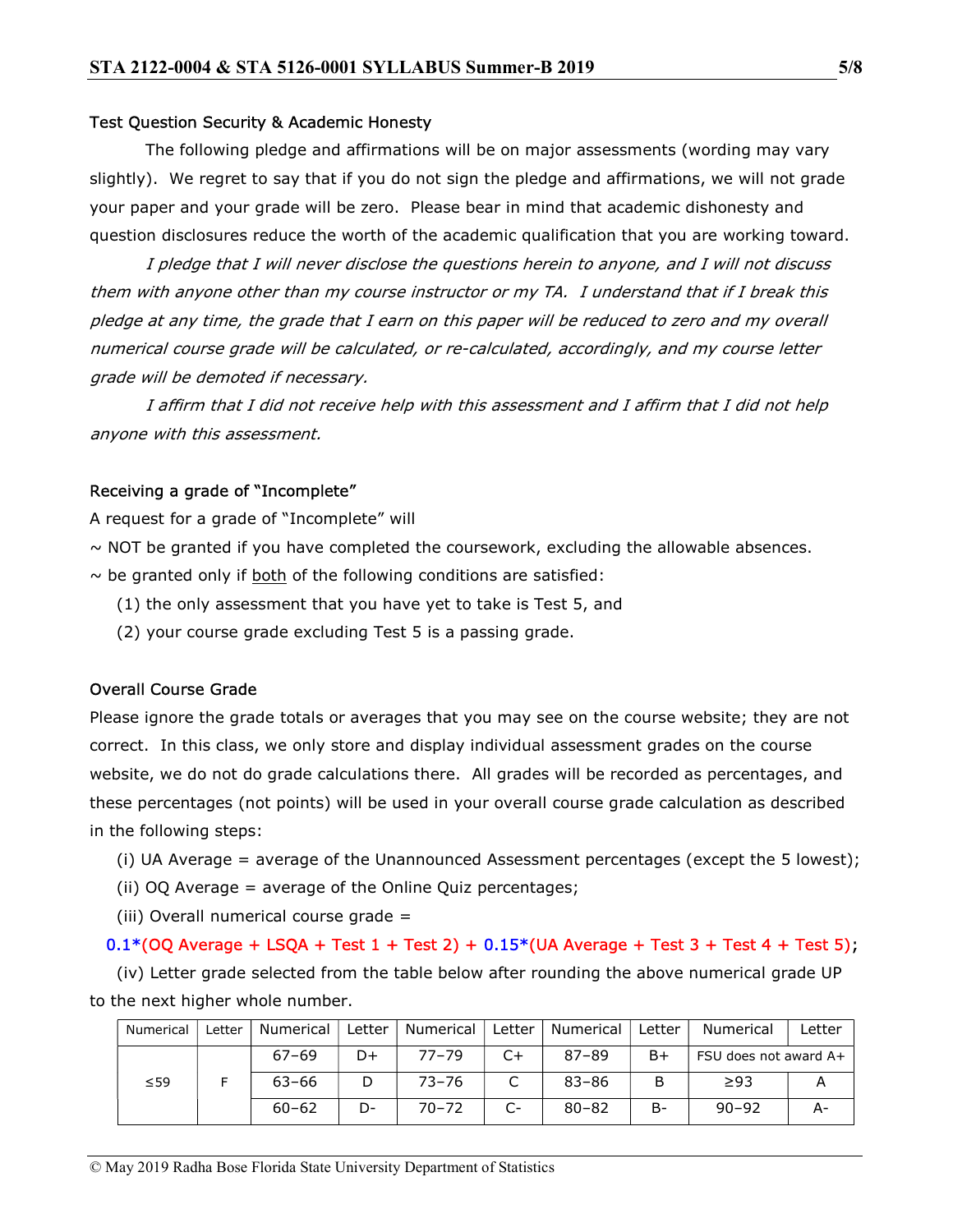#### Test Question Security & Academic Honesty

 The following pledge and affirmations will be on major assessments (wording may vary slightly). We regret to say that if you do not sign the pledge and affirmations, we will not grade your paper and your grade will be zero. Please bear in mind that academic dishonesty and question disclosures reduce the worth of the academic qualification that you are working toward.

 I pledge that I will never disclose the questions herein to anyone, and I will not discuss them with anyone other than my course instructor or my TA. I understand that if I break this pledge at any time, the grade that I earn on this paper will be reduced to zero and my overall numerical course grade will be calculated, or re-calculated, accordingly, and my course letter grade will be demoted if necessary.

 I affirm that I did not receive help with this assessment and I affirm that I did not help anyone with this assessment.

#### Receiving a grade of "Incomplete"

A request for a grade of "Incomplete" will

 $\sim$  NOT be granted if you have completed the coursework, excluding the allowable absences.

 $\sim$  be granted only if both of the following conditions are satisfied:

- (1) the only assessment that you have yet to take is Test 5, and
- (2) your course grade excluding Test 5 is a passing grade.

#### Overall Course Grade

Please ignore the grade totals or averages that you may see on the course website; they are not correct. In this class, we only store and display individual assessment grades on the course website, we do not do grade calculations there. All grades will be recorded as percentages, and these percentages (not points) will be used in your overall course grade calculation as described in the following steps:

- (i) UA Average = average of the Unannounced Assessment percentages (except the 5 lowest);
- (ii) OQ Average = average of the Online Quiz percentages;
- (iii) Overall numerical course grade =

#### $0.1*(OQ$  Average + LSQA + Test  $1 + Test$  2) +  $0.15*(UA$  Average + Test  $3 + Test$  + Test  $5$ ;

 (iv) Letter grade selected from the table below after rounding the above numerical grade UP to the next higher whole number.

| Numerical | ∟etter | Numerical | ∟etter | Numerical | Letter          | Numerical | ∟etter | Numerical             | _etter |
|-----------|--------|-----------|--------|-----------|-----------------|-----------|--------|-----------------------|--------|
| $\leq 59$ |        | $67 - 69$ | D+     | $77 - 79$ |                 | $87 - 89$ | B+     | FSU does not award A+ |        |
|           |        | $63 - 66$ | D      | $73 - 76$ | $\sqrt{ }$<br>֊ | $83 - 86$ | B      | $\geq$ 93             |        |
|           |        | $60 - 62$ | D-     | $70 - 72$ |                 | $80 - 82$ | B-     | $90 - 92$             |        |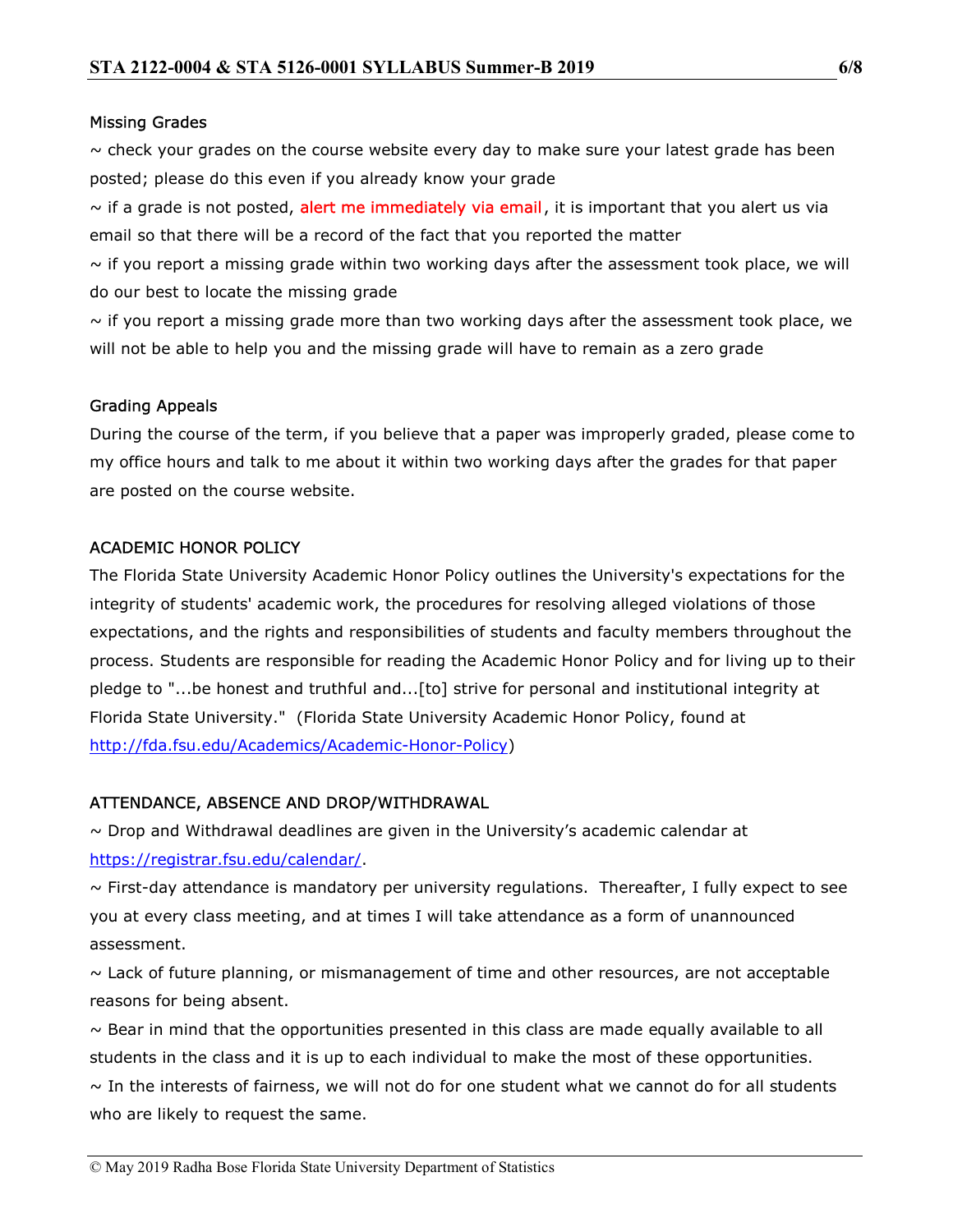#### Missing Grades

 $\sim$  check your grades on the course website every day to make sure your latest grade has been posted; please do this even if you already know your grade

 $\sim$  if a grade is not posted, alert me immediately via email, it is important that you alert us via email so that there will be a record of the fact that you reported the matter

 $\sim$  if you report a missing grade within two working days after the assessment took place, we will do our best to locate the missing grade

 $\sim$  if you report a missing grade more than two working days after the assessment took place, we will not be able to help you and the missing grade will have to remain as a zero grade

## Grading Appeals

During the course of the term, if you believe that a paper was improperly graded, please come to my office hours and talk to me about it within two working days after the grades for that paper are posted on the course website.

# ACADEMIC HONOR POLICY

The Florida State University Academic Honor Policy outlines the University's expectations for the integrity of students' academic work, the procedures for resolving alleged violations of those expectations, and the rights and responsibilities of students and faculty members throughout the process. Students are responsible for reading the Academic Honor Policy and for living up to their pledge to "...be honest and truthful and...[to] strive for personal and institutional integrity at Florida State University." (Florida State University Academic Honor Policy, found at http://fda.fsu.edu/Academics/Academic-Honor-Policy)

# ATTENDANCE, ABSENCE AND DROP/WITHDRAWAL

 $\sim$  Drop and Withdrawal deadlines are given in the University's academic calendar at https://registrar.fsu.edu/calendar/.

 $\sim$  First-day attendance is mandatory per university regulations. Thereafter, I fully expect to see you at every class meeting, and at times I will take attendance as a form of unannounced assessment.

 $\sim$  Lack of future planning, or mismanagement of time and other resources, are not acceptable reasons for being absent.

 $\sim$  Bear in mind that the opportunities presented in this class are made equally available to all students in the class and it is up to each individual to make the most of these opportunities.  $\sim$  In the interests of fairness, we will not do for one student what we cannot do for all students who are likely to request the same.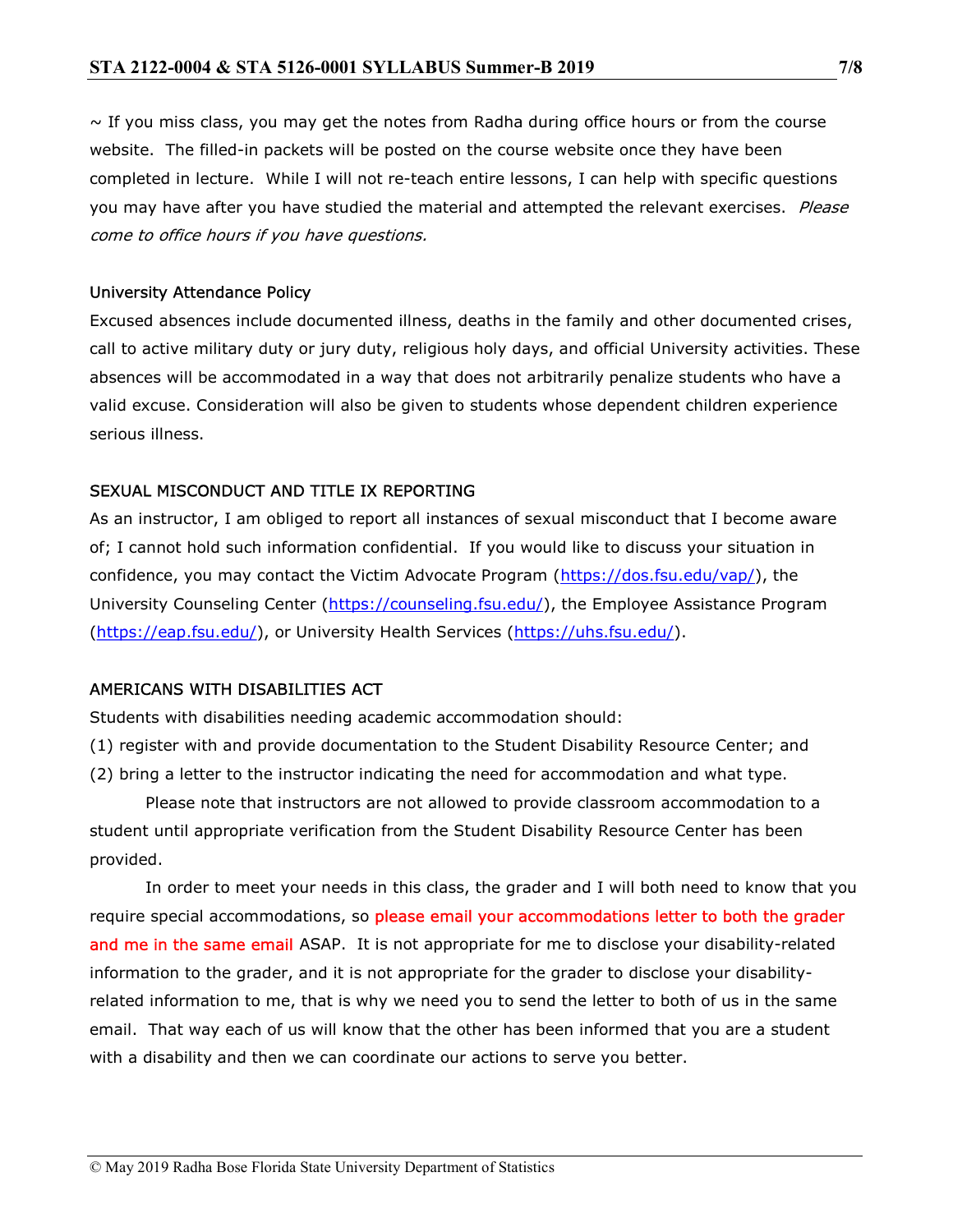$\sim$  If you miss class, you may get the notes from Radha during office hours or from the course website. The filled-in packets will be posted on the course website once they have been completed in lecture. While I will not re-teach entire lessons, I can help with specific questions you may have after you have studied the material and attempted the relevant exercises. Please come to office hours if you have questions.

#### University Attendance Policy

Excused absences include documented illness, deaths in the family and other documented crises, call to active military duty or jury duty, religious holy days, and official University activities. These absences will be accommodated in a way that does not arbitrarily penalize students who have a valid excuse. Consideration will also be given to students whose dependent children experience serious illness.

#### SEXUAL MISCONDUCT AND TITLE IX REPORTING

As an instructor, I am obliged to report all instances of sexual misconduct that I become aware of; I cannot hold such information confidential. If you would like to discuss your situation in confidence, you may contact the Victim Advocate Program (https://dos.fsu.edu/vap/), the University Counseling Center (https://counseling.fsu.edu/), the Employee Assistance Program (https://eap.fsu.edu/), or University Health Services (https://uhs.fsu.edu/).

#### AMERICANS WITH DISABILITIES ACT

Students with disabilities needing academic accommodation should:

- (1) register with and provide documentation to the Student Disability Resource Center; and
- (2) bring a letter to the instructor indicating the need for accommodation and what type.

 Please note that instructors are not allowed to provide classroom accommodation to a student until appropriate verification from the Student Disability Resource Center has been provided.

 In order to meet your needs in this class, the grader and I will both need to know that you require special accommodations, so please email your accommodations letter to both the grader and me in the same email ASAP. It is not appropriate for me to disclose your disability-related information to the grader, and it is not appropriate for the grader to disclose your disabilityrelated information to me, that is why we need you to send the letter to both of us in the same email. That way each of us will know that the other has been informed that you are a student with a disability and then we can coordinate our actions to serve you better.